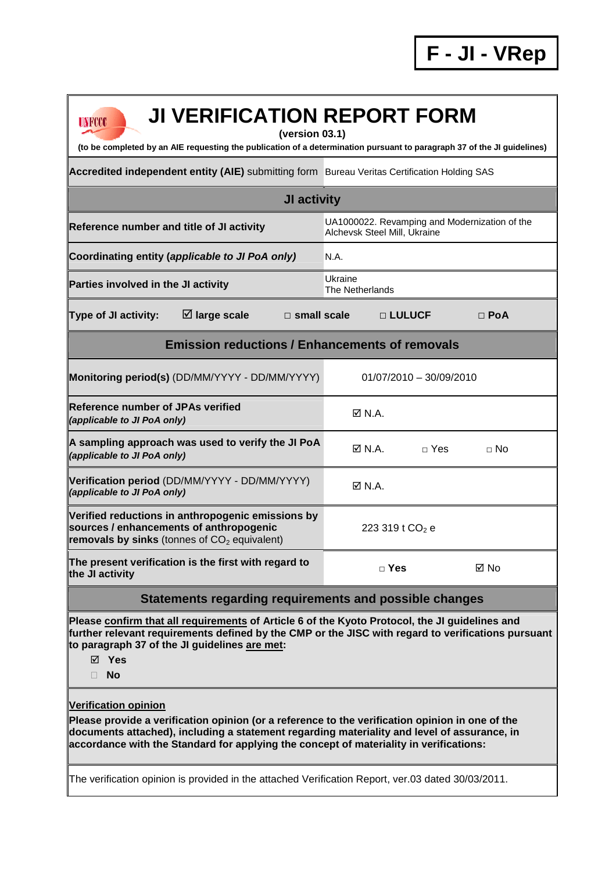| <b>JI VERIFICATION REPORT FORM</b><br>UNFCCC<br>(version 03.1)<br>(to be completed by an AIE requesting the publication of a determination pursuant to paragraph 37 of the JI guidelines)                                                                                                                                                                                                                                     |                              |                             |                                               |
|-------------------------------------------------------------------------------------------------------------------------------------------------------------------------------------------------------------------------------------------------------------------------------------------------------------------------------------------------------------------------------------------------------------------------------|------------------------------|-----------------------------|-----------------------------------------------|
|                                                                                                                                                                                                                                                                                                                                                                                                                               |                              |                             |                                               |
| Accredited independent entity (AIE) submitting form Bureau Veritas Certification Holding SAS                                                                                                                                                                                                                                                                                                                                  |                              |                             |                                               |
| <b>JI activity</b>                                                                                                                                                                                                                                                                                                                                                                                                            |                              |                             |                                               |
| Reference number and title of JI activity                                                                                                                                                                                                                                                                                                                                                                                     | Alchevsk Steel Mill, Ukraine |                             | UA1000022. Revamping and Modernization of the |
| Coordinating entity (applicable to JI PoA only)                                                                                                                                                                                                                                                                                                                                                                               | N.A.                         |                             |                                               |
| Parties involved in the JI activity                                                                                                                                                                                                                                                                                                                                                                                           | Ukraine<br>The Netherlands   |                             |                                               |
| $\boxtimes$ large scale<br>Type of JI activity:<br>$\Box$ small scale                                                                                                                                                                                                                                                                                                                                                         |                              | □ LULUCF                    | $\Box$ PoA                                    |
| <b>Emission reductions / Enhancements of removals</b>                                                                                                                                                                                                                                                                                                                                                                         |                              |                             |                                               |
| Monitoring period(s) (DD/MM/YYYY - DD/MM/YYYY)                                                                                                                                                                                                                                                                                                                                                                                |                              | $01/07/2010 - 30/09/2010$   |                                               |
| <b>IReference number of JPAs verified</b><br>(applicable to JI PoA only)                                                                                                                                                                                                                                                                                                                                                      | $\boxtimes$ N.A.             |                             |                                               |
| A sampling approach was used to verify the JI PoA<br>(applicable to JI PoA only)                                                                                                                                                                                                                                                                                                                                              | $\boxtimes$ N.A.             | $\sqcap$ Yes                | $\neg$ No                                     |
| Verification period (DD/MM/YYYY - DD/MM/YYYY)<br>(applicable to JI PoA only)                                                                                                                                                                                                                                                                                                                                                  | $\boxtimes$ N.A.             |                             |                                               |
| Verified reductions in anthropogenic emissions by<br>sources / enhancements of anthropogenic<br>removals by sinks (tonnes of $CO2$ equivalent)                                                                                                                                                                                                                                                                                |                              | 223 319 t CO <sub>2</sub> e |                                               |
| The present verification is the first with regard to<br>the JI activity                                                                                                                                                                                                                                                                                                                                                       |                              | $\Box$ Yes                  | ⊠ No                                          |
| Statements regarding requirements and possible changes                                                                                                                                                                                                                                                                                                                                                                        |                              |                             |                                               |
| Please confirm that all requirements of Article 6 of the Kyoto Protocol, the JI guidelines and<br>further relevant requirements defined by the CMP or the JISC with regard to verifications pursuant<br>to paragraph 37 of the JI guidelines are met:<br>$\boxtimes$ Yes<br><b>No</b><br>П.                                                                                                                                   |                              |                             |                                               |
| <b>Verification opinion</b><br>Please provide a verification opinion (or a reference to the verification opinion in one of the<br>documents attached), including a statement regarding materiality and level of assurance, in<br>accordance with the Standard for applying the concept of materiality in verifications:<br>The verification opinion is provided in the attached Verification Report, ver.03 dated 30/03/2011. |                              |                             |                                               |
|                                                                                                                                                                                                                                                                                                                                                                                                                               |                              |                             |                                               |